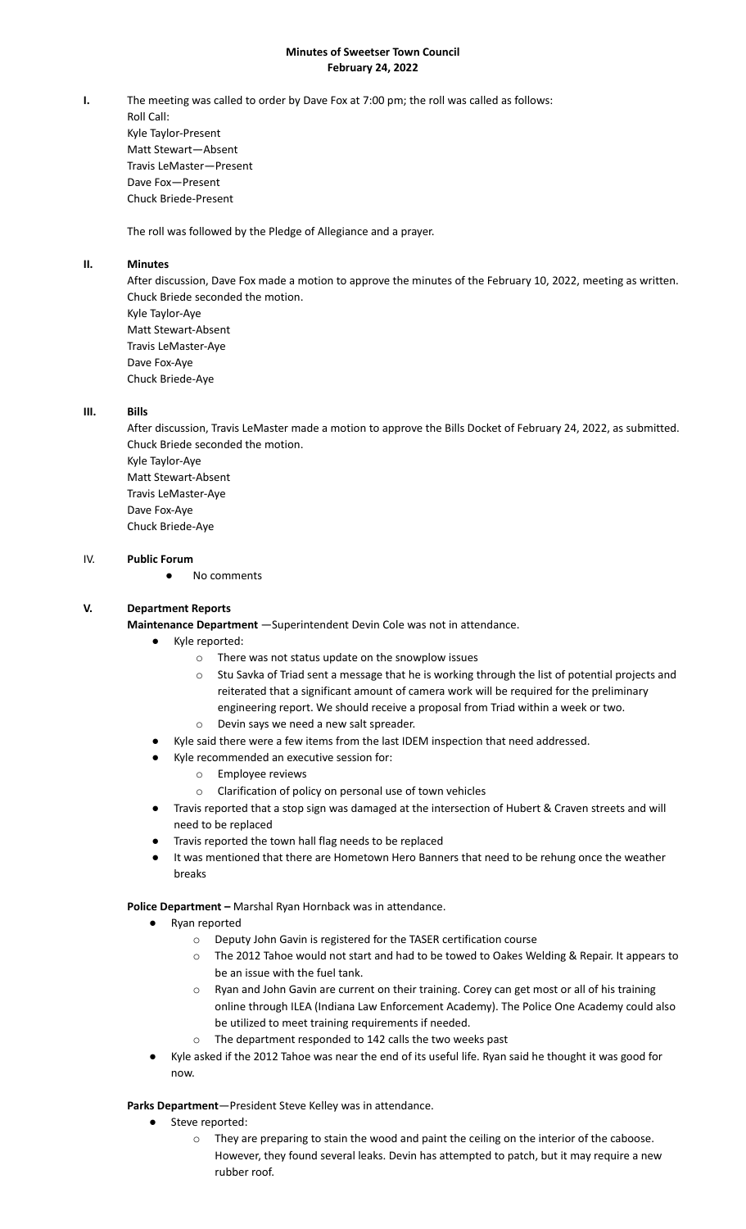# **Minutes of Sweetser Town Council February 24, 2022**

**I.** The meeting was called to order by Dave Fox at 7:00 pm; the roll was called as follows: Roll Call: Kyle Taylor-Present Matt Stewart—Absent Travis LeMaster—Present Dave Fox—Present Chuck Briede-Present

The roll was followed by the Pledge of Allegiance and a prayer.

# **II. Minutes**

After discussion, Dave Fox made a motion to approve the minutes of the February 10, 2022, meeting as written. Chuck Briede seconded the motion. Kyle Taylor-Aye Matt Stewart-Absent Travis LeMaster-Aye

Dave Fox-Aye Chuck Briede-Aye

### **III. Bills**

After discussion, Travis LeMaster made a motion to approve the Bills Docket of February 24, 2022, as submitted. Chuck Briede seconded the motion. Kyle Taylor-Aye Matt Stewart-Absent Travis LeMaster-Aye Dave Fox-Aye Chuck Briede-Aye

#### IV. **Public Forum**

● No comments

### **V. Department Reports**

**Maintenance Department** —Superintendent Devin Cole was not in attendance.

- Kyle reported:
	- o There was not status update on the snowplow issues
	- o Stu Savka of Triad sent a message that he is working through the list of potential projects and reiterated that a significant amount of camera work will be required for the preliminary engineering report. We should receive a proposal from Triad within a week or two.
	- o Devin says we need a new salt spreader.
- Kyle said there were a few items from the last IDEM inspection that need addressed.
	- Kyle recommended an executive session for:
		- o Employee reviews
		- o Clarification of policy on personal use of town vehicles
- Travis reported that a stop sign was damaged at the intersection of Hubert & Craven streets and will need to be replaced
- Travis reported the town hall flag needs to be replaced
- It was mentioned that there are Hometown Hero Banners that need to be rehung once the weather breaks

**Police Department –** Marshal Ryan Hornback was in attendance.

- Ryan reported
	- o Deputy John Gavin is registered for the TASER certification course
	- o The 2012 Tahoe would not start and had to be towed to Oakes Welding & Repair. It appears to be an issue with the fuel tank.
	- o Ryan and John Gavin are current on their training. Corey can get most or all of his training online through ILEA (Indiana Law Enforcement Academy). The Police One Academy could also be utilized to meet training requirements if needed.
	- o The department responded to 142 calls the two weeks past
- Kyle asked if the 2012 Tahoe was near the end of its useful life. Ryan said he thought it was good for now.

### **Parks Department**—President Steve Kelley was in attendance.

- Steve reported:
	- o They are preparing to stain the wood and paint the ceiling on the interior of the caboose. However, they found several leaks. Devin has attempted to patch, but it may require a new rubber roof.